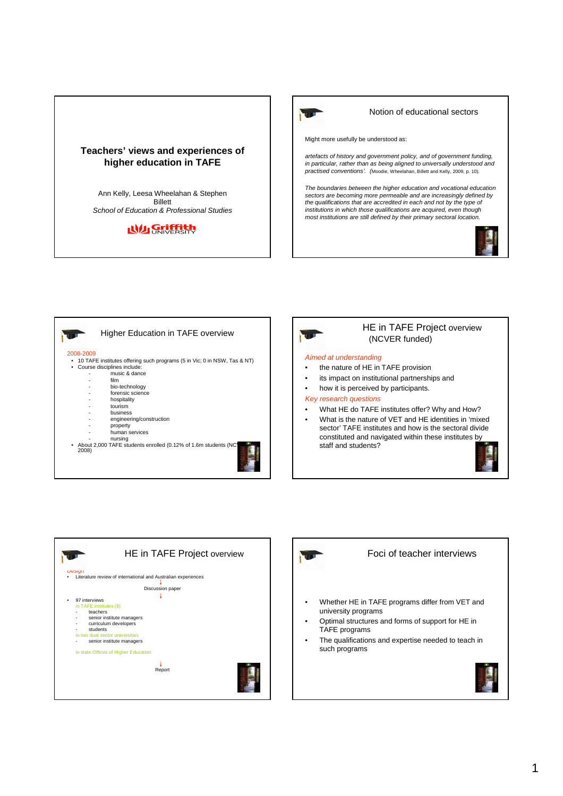## **Teachers' views and experiences of higher education in TAFE**

Ann Kelly, Leesa Wheelahan & Stephen Billett School of Education & Professional Studies

# **Ny Griffith**



### Notion of educational sectors

Might more usefully be understood as:

artefacts of history and government policy, and of government funding, in particular, rather than as being aligned to universally understood and practised conventions'. (Moodie, Wheelahan, Billett and Kelly, 2009, p. 10).

The boundaries between the higher education and vocational education sectors are becoming more permeable and are increasingly defined by the qualifications that are accredited in each and not by the type of institutions in which those qualifications are acquired, even though most institutions are still defined by their primary sectoral location.





### HE in TAFE Project overview (NCVER funded)

#### Aimed at understanding

- the nature of HE in TAFE provision
- its impact on institutional partnerships and
- how it is perceived by participants.

#### Key research questions

- What HE do TAFE institutes offer? Why and How?
- What is the nature of VET and HE identities in 'mixed sector' TAFE institutes and how is the sectoral divide constituted and navigated within these institutes by staff and students?